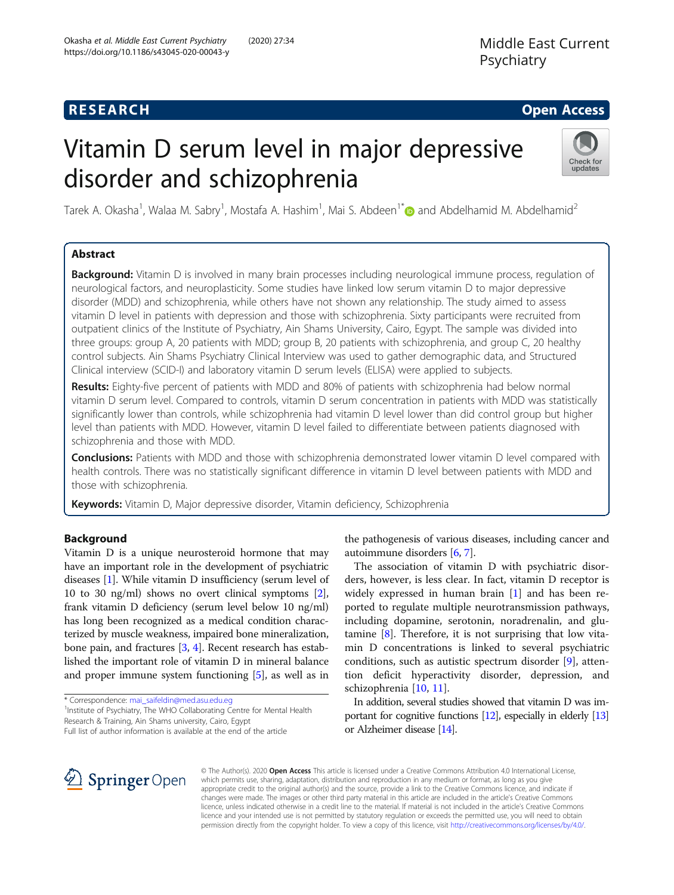# **RESEARCH CHE Open Access**

# Vitamin D serum level in major depressive disorder and schizophrenia



Tarek A. Okasha<sup>1</sup>, Walaa M. Sabry<sup>1</sup>, Mostafa A. Hashim<sup>1</sup>, Mai S. Abdeen<sup>1\*</sup> and Abdelhamid M. Abdelhamid<sup>2</sup>

# Abstract

Background: Vitamin D is involved in many brain processes including neurological immune process, regulation of neurological factors, and neuroplasticity. Some studies have linked low serum vitamin D to major depressive disorder (MDD) and schizophrenia, while others have not shown any relationship. The study aimed to assess vitamin D level in patients with depression and those with schizophrenia. Sixty participants were recruited from outpatient clinics of the Institute of Psychiatry, Ain Shams University, Cairo, Egypt. The sample was divided into three groups: group A, 20 patients with MDD; group B, 20 patients with schizophrenia, and group C, 20 healthy control subjects. Ain Shams Psychiatry Clinical Interview was used to gather demographic data, and Structured Clinical interview (SCID-I) and laboratory vitamin D serum levels (ELISA) were applied to subjects.

Results: Eighty-five percent of patients with MDD and 80% of patients with schizophrenia had below normal vitamin D serum level. Compared to controls, vitamin D serum concentration in patients with MDD was statistically significantly lower than controls, while schizophrenia had vitamin D level lower than did control group but higher level than patients with MDD. However, vitamin D level failed to differentiate between patients diagnosed with schizophrenia and those with MDD.

Conclusions: Patients with MDD and those with schizophrenia demonstrated lower vitamin D level compared with health controls. There was no statistically significant difference in vitamin D level between patients with MDD and those with schizophrenia.

Keywords: Vitamin D, Major depressive disorder, Vitamin deficiency, Schizophrenia

# Background

Vitamin D is a unique neurosteroid hormone that may have an important role in the development of psychiatric diseases [\[1](#page-6-0)]. While vitamin D insufficiency (serum level of 10 to 30 ng/ml) shows no overt clinical symptoms [[2](#page-6-0)], frank vitamin D deficiency (serum level below 10 ng/ml) has long been recognized as a medical condition characterized by muscle weakness, impaired bone mineralization, bone pain, and fractures [[3](#page-6-0), [4](#page-6-0)]. Recent research has established the important role of vitamin D in mineral balance and proper immune system functioning [\[5\]](#page-6-0), as well as in

\* Correspondence: [mai\\_saifeldin@med.asu.edu.eg](mailto:mai_saifeldin@med.asu.edu.eg) <sup>1</sup> <sup>1</sup>Institute of Psychiatry, The WHO Collaborating Centre for Mental Health Research & Training, Ain Shams university, Cairo, Egypt Full list of author information is available at the end of the article

the pathogenesis of various diseases, including cancer and autoimmune disorders [[6,](#page-6-0) [7](#page-6-0)].

The association of vitamin D with psychiatric disorders, however, is less clear. In fact, vitamin D receptor is widely expressed in human brain [\[1](#page-6-0)] and has been reported to regulate multiple neurotransmission pathways, including dopamine, serotonin, noradrenalin, and glutamine [[8\]](#page-6-0). Therefore, it is not surprising that low vitamin D concentrations is linked to several psychiatric conditions, such as autistic spectrum disorder [[9\]](#page-6-0), attention deficit hyperactivity disorder, depression, and schizophrenia [\[10](#page-6-0), [11](#page-6-0)].

In addition, several studies showed that vitamin D was important for cognitive functions [[12\]](#page-6-0), especially in elderly [\[13](#page-6-0)] or Alzheimer disease [\[14](#page-6-0)].



© The Author(s). 2020 Open Access This article is licensed under a Creative Commons Attribution 4.0 International License, which permits use, sharing, adaptation, distribution and reproduction in any medium or format, as long as you give appropriate credit to the original author(s) and the source, provide a link to the Creative Commons licence, and indicate if changes were made. The images or other third party material in this article are included in the article's Creative Commons licence, unless indicated otherwise in a credit line to the material. If material is not included in the article's Creative Commons licence and your intended use is not permitted by statutory regulation or exceeds the permitted use, you will need to obtain permission directly from the copyright holder. To view a copy of this licence, visit <http://creativecommons.org/licenses/by/4.0/>.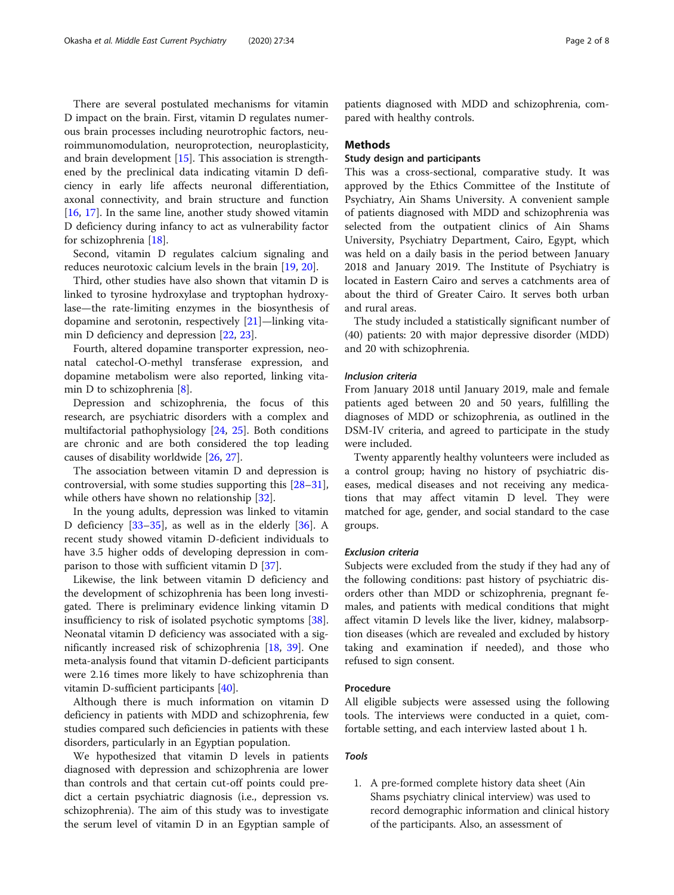There are several postulated mechanisms for vitamin D impact on the brain. First, vitamin D regulates numerous brain processes including neurotrophic factors, neuroimmunomodulation, neuroprotection, neuroplasticity, and brain development [\[15](#page-6-0)]. This association is strengthened by the preclinical data indicating vitamin D deficiency in early life affects neuronal differentiation, axonal connectivity, and brain structure and function [[16,](#page-6-0) [17\]](#page-6-0). In the same line, another study showed vitamin D deficiency during infancy to act as vulnerability factor for schizophrenia [[18\]](#page-6-0).

Second, vitamin D regulates calcium signaling and reduces neurotoxic calcium levels in the brain [[19](#page-6-0), [20](#page-6-0)].

Third, other studies have also shown that vitamin D is linked to tyrosine hydroxylase and tryptophan hydroxylase—the rate-limiting enzymes in the biosynthesis of dopamine and serotonin, respectively [\[21](#page-6-0)]—linking vitamin D deficiency and depression [\[22,](#page-6-0) [23\]](#page-6-0).

Fourth, altered dopamine transporter expression, neonatal catechol-O-methyl transferase expression, and dopamine metabolism were also reported, linking vitamin D to schizophrenia [[8\]](#page-6-0).

Depression and schizophrenia, the focus of this research, are psychiatric disorders with a complex and multifactorial pathophysiology [\[24,](#page-6-0) [25\]](#page-7-0). Both conditions are chronic and are both considered the top leading causes of disability worldwide [\[26](#page-7-0), [27](#page-7-0)].

The association between vitamin D and depression is controversial, with some studies supporting this [[28](#page-7-0)–[31](#page-7-0)], while others have shown no relationship [\[32](#page-7-0)].

In the young adults, depression was linked to vitamin D deficiency [[33](#page-7-0)–[35](#page-7-0)], as well as in the elderly [[36\]](#page-7-0). A recent study showed vitamin D-deficient individuals to have 3.5 higher odds of developing depression in comparison to those with sufficient vitamin D [[37\]](#page-7-0).

Likewise, the link between vitamin D deficiency and the development of schizophrenia has been long investigated. There is preliminary evidence linking vitamin D insufficiency to risk of isolated psychotic symptoms [\[38](#page-7-0)]. Neonatal vitamin D deficiency was associated with a significantly increased risk of schizophrenia [\[18](#page-6-0), [39](#page-7-0)]. One meta-analysis found that vitamin D-deficient participants were 2.16 times more likely to have schizophrenia than vitamin D-sufficient participants [\[40](#page-7-0)].

Although there is much information on vitamin D deficiency in patients with MDD and schizophrenia, few studies compared such deficiencies in patients with these disorders, particularly in an Egyptian population.

We hypothesized that vitamin D levels in patients diagnosed with depression and schizophrenia are lower than controls and that certain cut-off points could predict a certain psychiatric diagnosis (i.e., depression vs. schizophrenia). The aim of this study was to investigate the serum level of vitamin D in an Egyptian sample of

patients diagnosed with MDD and schizophrenia, compared with healthy controls.

#### Methods

# Study design and participants

This was a cross-sectional, comparative study. It was approved by the Ethics Committee of the Institute of Psychiatry, Ain Shams University. A convenient sample of patients diagnosed with MDD and schizophrenia was selected from the outpatient clinics of Ain Shams University, Psychiatry Department, Cairo, Egypt, which was held on a daily basis in the period between January 2018 and January 2019. The Institute of Psychiatry is located in Eastern Cairo and serves a catchments area of about the third of Greater Cairo. It serves both urban and rural areas.

The study included a statistically significant number of (40) patients: 20 with major depressive disorder (MDD) and 20 with schizophrenia.

#### Inclusion criteria

From January 2018 until January 2019, male and female patients aged between 20 and 50 years, fulfilling the diagnoses of MDD or schizophrenia, as outlined in the DSM-IV criteria, and agreed to participate in the study were included.

Twenty apparently healthy volunteers were included as a control group; having no history of psychiatric diseases, medical diseases and not receiving any medications that may affect vitamin D level. They were matched for age, gender, and social standard to the case groups.

#### Exclusion criteria

Subjects were excluded from the study if they had any of the following conditions: past history of psychiatric disorders other than MDD or schizophrenia, pregnant females, and patients with medical conditions that might affect vitamin D levels like the liver, kidney, malabsorption diseases (which are revealed and excluded by history taking and examination if needed), and those who refused to sign consent.

#### Procedure

All eligible subjects were assessed using the following tools. The interviews were conducted in a quiet, comfortable setting, and each interview lasted about 1 h.

### Tools

1. A pre-formed complete history data sheet (Ain Shams psychiatry clinical interview) was used to record demographic information and clinical history of the participants. Also, an assessment of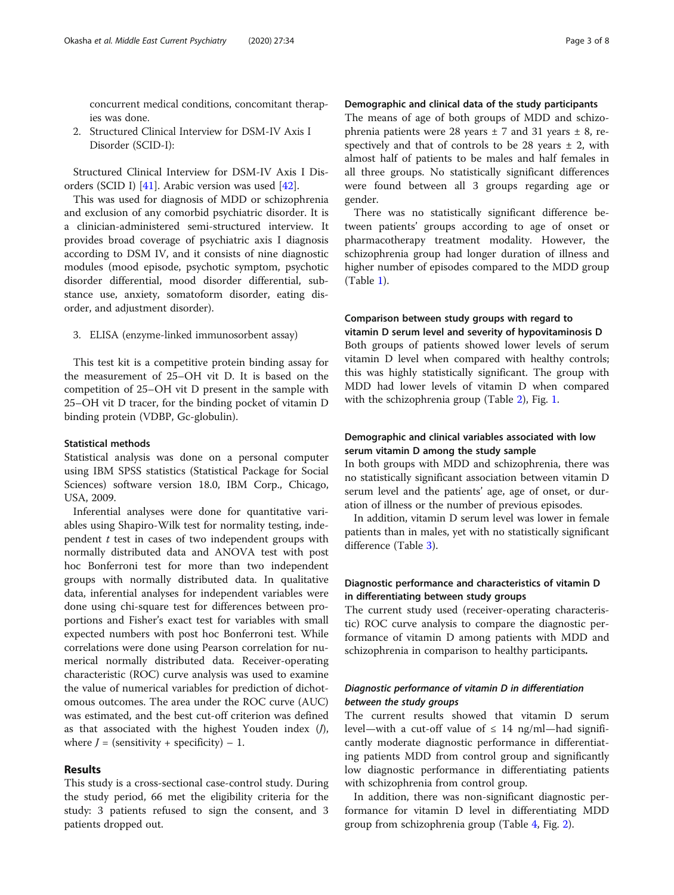concurrent medical conditions, concomitant therapies was done.

2. Structured Clinical Interview for DSM-IV Axis I Disorder (SCID-I):

Structured Clinical Interview for DSM-IV Axis I Disorders (SCID I) [\[41](#page-7-0)]. Arabic version was used [[42](#page-7-0)].

This was used for diagnosis of MDD or schizophrenia and exclusion of any comorbid psychiatric disorder. It is a clinician-administered semi-structured interview. It provides broad coverage of psychiatric axis I diagnosis according to DSM IV, and it consists of nine diagnostic modules (mood episode, psychotic symptom, psychotic disorder differential, mood disorder differential, substance use, anxiety, somatoform disorder, eating disorder, and adjustment disorder).

3. ELISA (enzyme-linked immunosorbent assay)

This test kit is a competitive protein binding assay for the measurement of 25–OH vit D. It is based on the competition of 25–OH vit D present in the sample with 25–OH vit D tracer, for the binding pocket of vitamin D binding protein (VDBP, Gc-globulin).

#### Statistical methods

Statistical analysis was done on a personal computer using IBM SPSS statistics (Statistical Package for Social Sciences) software version 18.0, IBM Corp., Chicago, USA, 2009.

Inferential analyses were done for quantitative variables using Shapiro-Wilk test for normality testing, independent  $t$  test in cases of two independent groups with normally distributed data and ANOVA test with post hoc Bonferroni test for more than two independent groups with normally distributed data. In qualitative data, inferential analyses for independent variables were done using chi-square test for differences between proportions and Fisher's exact test for variables with small expected numbers with post hoc Bonferroni test. While correlations were done using Pearson correlation for numerical normally distributed data. Receiver-operating characteristic (ROC) curve analysis was used to examine the value of numerical variables for prediction of dichotomous outcomes. The area under the ROC curve (AUC) was estimated, and the best cut-off criterion was defined as that associated with the highest Youden index  $(J)$ , where  $J =$  (sensitivity + specificity) – 1.

# Results

This study is a cross-sectional case-control study. During the study period, 66 met the eligibility criteria for the study: 3 patients refused to sign the consent, and 3 patients dropped out.

# Demographic and clinical data of the study participants

The means of age of both groups of MDD and schizophrenia patients were 28 years  $\pm$  7 and 31 years  $\pm$  8, respectively and that of controls to be 28 years  $\pm$  2, with almost half of patients to be males and half females in all three groups. No statistically significant differences were found between all 3 groups regarding age or gender.

There was no statistically significant difference between patients' groups according to age of onset or pharmacotherapy treatment modality. However, the schizophrenia group had longer duration of illness and higher number of episodes compared to the MDD group (Table [1\)](#page-3-0).

# Comparison between study groups with regard to

vitamin D serum level and severity of hypovitaminosis D Both groups of patients showed lower levels of serum vitamin D level when compared with healthy controls; this was highly statistically significant. The group with MDD had lower levels of vitamin D when compared with the schizophrenia group (Table [2\)](#page-3-0), Fig. [1](#page-4-0).

# Demographic and clinical variables associated with low serum vitamin D among the study sample

In both groups with MDD and schizophrenia, there was no statistically significant association between vitamin D serum level and the patients' age, age of onset, or duration of illness or the number of previous episodes.

In addition, vitamin D serum level was lower in female patients than in males, yet with no statistically significant difference (Table [3\)](#page-4-0).

# Diagnostic performance and characteristics of vitamin D in differentiating between study groups

The current study used (receiver-operating characteristic) ROC curve analysis to compare the diagnostic performance of vitamin D among patients with MDD and schizophrenia in comparison to healthy participants.

# Diagnostic performance of vitamin D in differentiation between the study groups

The current results showed that vitamin D serum level—with a cut-off value of  $\leq$  14 ng/ml—had significantly moderate diagnostic performance in differentiating patients MDD from control group and significantly low diagnostic performance in differentiating patients with schizophrenia from control group.

In addition, there was non-significant diagnostic performance for vitamin D level in differentiating MDD group from schizophrenia group (Table [4,](#page-5-0) Fig. [2](#page-5-0)).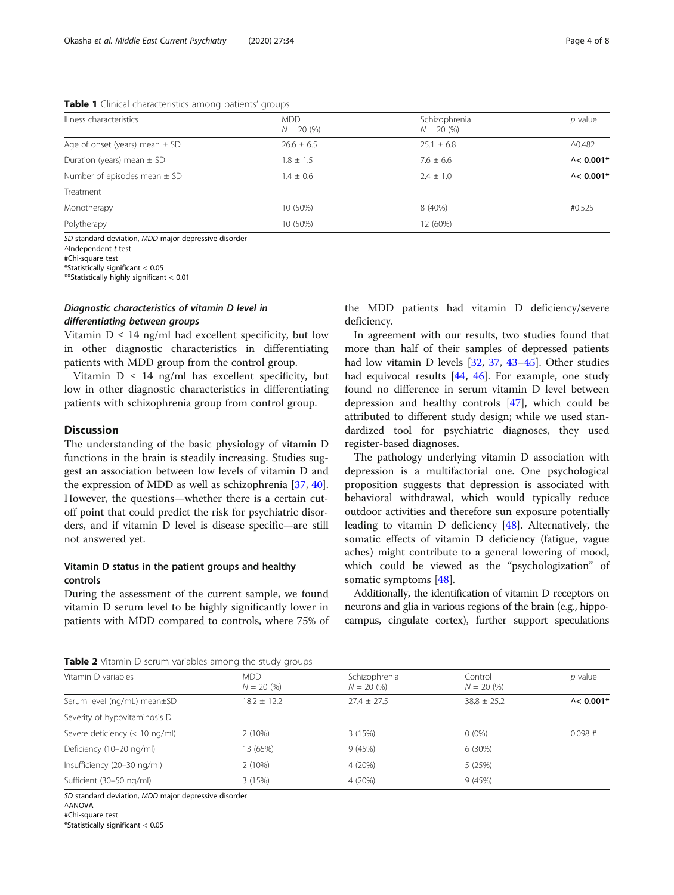<span id="page-3-0"></span>Table 1 Clinical characteristics among patients' groups

| Illness characteristics            | <b>MDD</b><br>$N = 20(%)$ | Schizophrenia<br>$N = 20 (%)$ | $p$ value                      |
|------------------------------------|---------------------------|-------------------------------|--------------------------------|
| Age of onset (years) mean $\pm$ SD | $26.6 \pm 6.5$            | $25.1 \pm 6.8$                | $^{\wedge}0.482$               |
| Duration (years) mean $\pm$ SD     | $1.8 \pm 1.5$             | $7.6 \pm 6.6$                 | $\lambda$ < 0.001 <sup>+</sup> |
| Number of episodes mean $\pm$ SD   | $1.4 \pm 0.6$             | $2.4 \pm 1.0$                 | $\lambda$ < 0.001 <sup>+</sup> |
| Treatment                          |                           |                               |                                |
| Monotherapy                        | 10 (50%)                  | 8 (40%)                       | #0.525                         |
| Polytherapy                        | 10 (50%)                  | 12 (60%)                      |                                |

SD standard deviation, MDD major depressive disorder

^Independent t test

#Chi-square test

\*Statistically significant < 0.05 \*\*Statistically highly significant < 0.01

# Diagnostic characteristics of vitamin D level in differentiating between groups

Vitamin  $D \leq 14$  ng/ml had excellent specificity, but low in other diagnostic characteristics in differentiating patients with MDD group from the control group.

Vitamin  $D \leq 14$  ng/ml has excellent specificity, but low in other diagnostic characteristics in differentiating patients with schizophrenia group from control group.

# **Discussion**

The understanding of the basic physiology of vitamin D functions in the brain is steadily increasing. Studies suggest an association between low levels of vitamin D and the expression of MDD as well as schizophrenia [\[37](#page-7-0), [40](#page-7-0)]. However, the questions—whether there is a certain cutoff point that could predict the risk for psychiatric disorders, and if vitamin D level is disease specific—are still not answered yet.

# Vitamin D status in the patient groups and healthy controls

During the assessment of the current sample, we found vitamin D serum level to be highly significantly lower in patients with MDD compared to controls, where 75% of the MDD patients had vitamin D deficiency/severe deficiency.

In agreement with our results, two studies found that more than half of their samples of depressed patients had low vitamin D levels [\[32](#page-7-0), [37,](#page-7-0) [43](#page-7-0)–[45](#page-7-0)]. Other studies had equivocal results [[44,](#page-7-0) [46](#page-7-0)]. For example, one study found no difference in serum vitamin D level between depression and healthy controls [[47\]](#page-7-0), which could be attributed to different study design; while we used standardized tool for psychiatric diagnoses, they used register-based diagnoses.

The pathology underlying vitamin D association with depression is a multifactorial one. One psychological proposition suggests that depression is associated with behavioral withdrawal, which would typically reduce outdoor activities and therefore sun exposure potentially leading to vitamin D deficiency [\[48\]](#page-7-0). Alternatively, the somatic effects of vitamin D deficiency (fatigue, vague aches) might contribute to a general lowering of mood, which could be viewed as the "psychologization" of somatic symptoms [\[48](#page-7-0)].

Additionally, the identification of vitamin D receptors on neurons and glia in various regions of the brain (e.g., hippocampus, cingulate cortex), further support speculations

Table 2 Vitamin D serum variables among the study groups

| <b>Table 2</b> Vitamin D serum vanables among the study groups |                      |                                 |                           |                    |  |  |  |
|----------------------------------------------------------------|----------------------|---------------------------------|---------------------------|--------------------|--|--|--|
| Vitamin D variables                                            | MDD.<br>$N = 20(96)$ | Schizophrenia<br>$N = 20 \ (%)$ | Control<br>$N = 20 \ (%)$ | $p$ value          |  |  |  |
| Serum level (ng/mL) mean±SD                                    | $18.2 + 12.2$        | $27.4 + 27.5$                   | $38.8 \pm 25.2$           | $\lambda$ < 0.001* |  |  |  |
| Severity of hypovitaminosis D                                  |                      |                                 |                           |                    |  |  |  |
| Severe deficiency (< 10 ng/ml)                                 | 2(10%)               | 3(15%)                          | $0(0\%)$                  | $0.098$ #          |  |  |  |
| Deficiency (10-20 ng/ml)                                       | 13 (65%)             | 9(45%)                          | 6(30%)                    |                    |  |  |  |
| Insufficiency (20-30 ng/ml)                                    | 2(10%)               | 4 (20%)                         | 5(25%)                    |                    |  |  |  |
| Sufficient (30-50 ng/ml)                                       | 3(15%)               | 4 (20%)                         | 9(45%)                    |                    |  |  |  |

SD standard deviation, MDD major depressive disorder

^ANOVA

#Chi-square test

\*Statistically significant < 0.05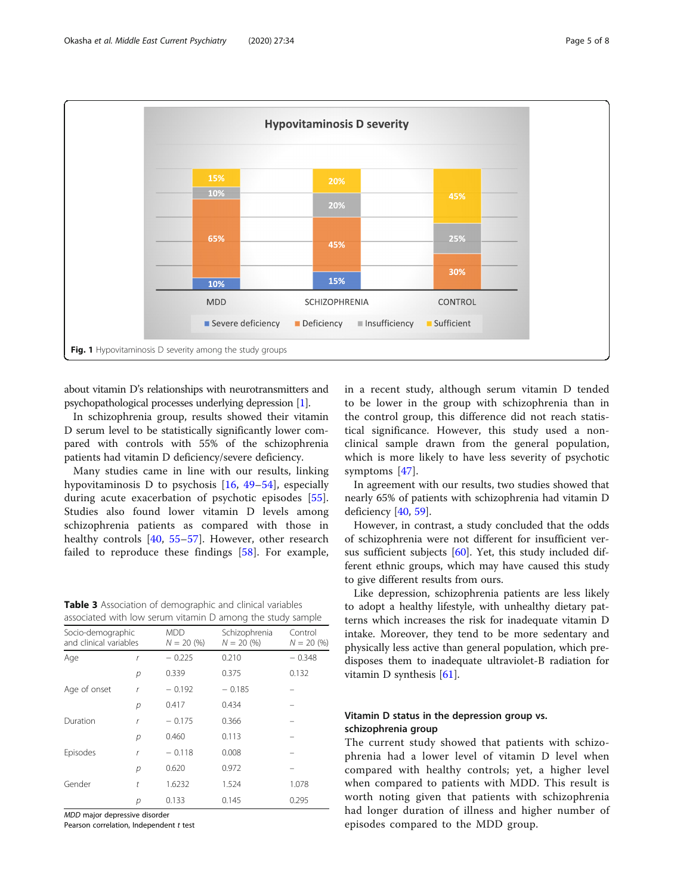<span id="page-4-0"></span>

about vitamin D's relationships with neurotransmitters and psychopathological processes underlying depression [\[1\]](#page-6-0).

In schizophrenia group, results showed their vitamin D serum level to be statistically significantly lower compared with controls with 55% of the schizophrenia patients had vitamin D deficiency/severe deficiency.

Many studies came in line with our results, linking hypovitaminosis D to psychosis [[16,](#page-6-0) [49](#page-7-0)–[54](#page-7-0)], especially during acute exacerbation of psychotic episodes [\[55](#page-7-0)]. Studies also found lower vitamin D levels among schizophrenia patients as compared with those in healthy controls [[40,](#page-7-0) [55](#page-7-0)–[57\]](#page-7-0). However, other research failed to reproduce these findings [[58\]](#page-7-0). For example,

Table 3 Association of demographic and clinical variables associated with low serum vitamin D among the study sample

|                                             |             |                            | associated with low serum vitaming arriving the study sample. |                         |
|---------------------------------------------|-------------|----------------------------|---------------------------------------------------------------|-------------------------|
| Socio-demographic<br>and clinical variables |             | <b>MDD</b><br>$N = 20 (%)$ | Schizophrenia<br>$N = 20 (%)$                                 | Control<br>$N = 20 (%)$ |
| Age                                         | ľ           | $-0.225$                   | 0.210                                                         | $-0.348$                |
|                                             | р           | 0.339                      | 0.375                                                         | 0.132                   |
| Age of onset                                | r           | $-0.192$                   | $-0.185$                                                      |                         |
|                                             | р           | 0.417                      | 0.434                                                         |                         |
| Duration                                    | r           | $-0.175$                   | 0.366                                                         |                         |
|                                             | р           | 0.460                      | 0.113                                                         |                         |
| Episodes                                    | $\mathbf r$ | $-0.118$                   | 0.008                                                         |                         |
|                                             | р           | 0.620                      | 0.972                                                         |                         |
| Gender                                      | t           | 1.6232                     | 1.524                                                         | 1.078                   |
|                                             | р           | 0.133                      | 0.145                                                         | 0.295                   |

MDD major depressive disorder

Pearson correlation, Independent t test

in a recent study, although serum vitamin D tended to be lower in the group with schizophrenia than in the control group, this difference did not reach statistical significance. However, this study used a nonclinical sample drawn from the general population, which is more likely to have less severity of psychotic symptoms [\[47](#page-7-0)].

In agreement with our results, two studies showed that nearly 65% of patients with schizophrenia had vitamin D deficiency [\[40](#page-7-0), [59](#page-7-0)].

However, in contrast, a study concluded that the odds of schizophrenia were not different for insufficient versus sufficient subjects [\[60\]](#page-7-0). Yet, this study included different ethnic groups, which may have caused this study to give different results from ours.

Like depression, schizophrenia patients are less likely to adopt a healthy lifestyle, with unhealthy dietary patterns which increases the risk for inadequate vitamin D intake. Moreover, they tend to be more sedentary and physically less active than general population, which predisposes them to inadequate ultraviolet-B radiation for vitamin D synthesis [\[61](#page-7-0)].

# Vitamin D status in the depression group vs. schizophrenia group

The current study showed that patients with schizophrenia had a lower level of vitamin D level when compared with healthy controls; yet, a higher level when compared to patients with MDD. This result is worth noting given that patients with schizophrenia had longer duration of illness and higher number of episodes compared to the MDD group.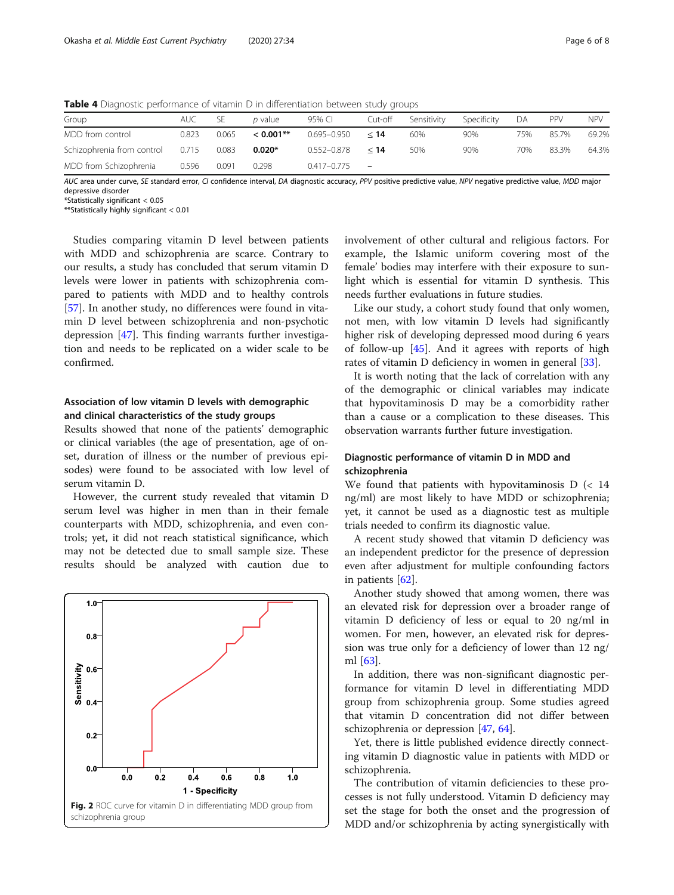| Group                      | AUC.  | ЪE    | p value      | 95% CI      | Cut-off | Sensitivity | Specificity | DА  | PPV   | NPV.  |
|----------------------------|-------|-------|--------------|-------------|---------|-------------|-------------|-----|-------|-------|
| MDD from control           | 0.823 | 0.065 | $< 0.001$ ** | 0.695-0.950 | < 14    | 60%         | 90%         | 75% | 85.7% | 69.2% |
| Schizophrenia from control | 0.715 | 0.083 | $0.020*$     | 0.552-0.878 | < 14    | 50%         | 90%         | 70% | 83.3% | 64.3% |
| MDD from Schizophrenia     | 0.596 | 0.091 | 0.298        | 0.417-0.775 | -       |             |             |     |       |       |

<span id="page-5-0"></span>Table 4 Diagnostic performance of vitamin D in differentiation between study groups

AUC area under curve, SE standard error, CI confidence interval, DA diagnostic accuracy, PPV positive predictive value, NPV negative predictive value, MDD major depressive disorde

\*Statistically significant < 0.05

\*\*Statistically highly significant < 0.01

Studies comparing vitamin D level between patients with MDD and schizophrenia are scarce. Contrary to our results, a study has concluded that serum vitamin D levels were lower in patients with schizophrenia compared to patients with MDD and to healthy controls [[57\]](#page-7-0). In another study, no differences were found in vitamin D level between schizophrenia and non-psychotic depression [\[47\]](#page-7-0). This finding warrants further investigation and needs to be replicated on a wider scale to be confirmed.

# Association of low vitamin D levels with demographic and clinical characteristics of the study groups

Results showed that none of the patients' demographic or clinical variables (the age of presentation, age of onset, duration of illness or the number of previous episodes) were found to be associated with low level of serum vitamin D.

However, the current study revealed that vitamin D serum level was higher in men than in their female counterparts with MDD, schizophrenia, and even controls; yet, it did not reach statistical significance, which may not be detected due to small sample size. These results should be analyzed with caution due to



involvement of other cultural and religious factors. For example, the Islamic uniform covering most of the female' bodies may interfere with their exposure to sunlight which is essential for vitamin D synthesis. This needs further evaluations in future studies.

Like our study, a cohort study found that only women, not men, with low vitamin D levels had significantly higher risk of developing depressed mood during 6 years of follow-up [\[45](#page-7-0)]. And it agrees with reports of high rates of vitamin D deficiency in women in general [[33\]](#page-7-0).

It is worth noting that the lack of correlation with any of the demographic or clinical variables may indicate that hypovitaminosis D may be a comorbidity rather than a cause or a complication to these diseases. This observation warrants further future investigation.

# Diagnostic performance of vitamin D in MDD and schizophrenia

We found that patients with hypovitaminosis  $D \leq 14$ ng/ml) are most likely to have MDD or schizophrenia; yet, it cannot be used as a diagnostic test as multiple trials needed to confirm its diagnostic value.

A recent study showed that vitamin D deficiency was an independent predictor for the presence of depression even after adjustment for multiple confounding factors in patients [[62\]](#page-7-0).

Another study showed that among women, there was an elevated risk for depression over a broader range of vitamin D deficiency of less or equal to 20 ng/ml in women. For men, however, an elevated risk for depression was true only for a deficiency of lower than 12 ng/ ml [[63](#page-7-0)].

In addition, there was non-significant diagnostic performance for vitamin D level in differentiating MDD group from schizophrenia group. Some studies agreed that vitamin D concentration did not differ between schizophrenia or depression [[47](#page-7-0), [64](#page-7-0)].

Yet, there is little published evidence directly connecting vitamin D diagnostic value in patients with MDD or schizophrenia.

The contribution of vitamin deficiencies to these processes is not fully understood. Vitamin D deficiency may set the stage for both the onset and the progression of MDD and/or schizophrenia by acting synergistically with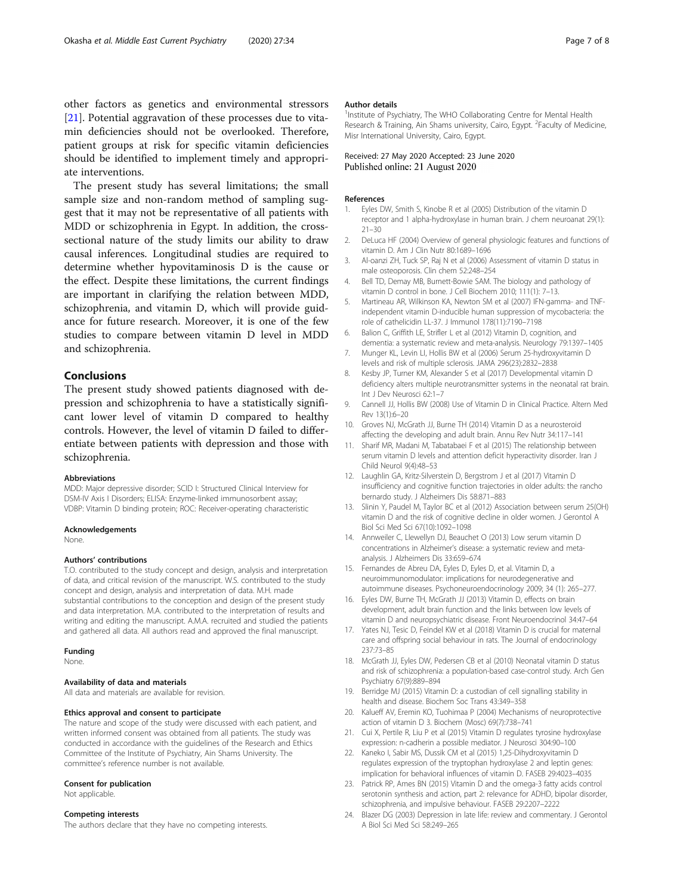<span id="page-6-0"></span>other factors as genetics and environmental stressors [21]. Potential aggravation of these processes due to vitamin deficiencies should not be overlooked. Therefore, patient groups at risk for specific vitamin deficiencies should be identified to implement timely and appropriate interventions.

The present study has several limitations; the small sample size and non-random method of sampling suggest that it may not be representative of all patients with MDD or schizophrenia in Egypt. In addition, the crosssectional nature of the study limits our ability to draw causal inferences. Longitudinal studies are required to determine whether hypovitaminosis D is the cause or the effect. Despite these limitations, the current findings are important in clarifying the relation between MDD, schizophrenia, and vitamin D, which will provide guidance for future research. Moreover, it is one of the few studies to compare between vitamin D level in MDD and schizophrenia.

# Conclusions

The present study showed patients diagnosed with depression and schizophrenia to have a statistically significant lower level of vitamin D compared to healthy controls. However, the level of vitamin D failed to differentiate between patients with depression and those with schizophrenia.

#### Abbreviations

MDD: Major depressive disorder; SCID I: Structured Clinical Interview for DSM-IV Axis I Disorders; ELISA: Enzyme-linked immunosorbent assay; VDBP: Vitamin D binding protein; ROC: Receiver-operating characteristic

#### Acknowledgements

None.

#### Authors' contributions

T.O. contributed to the study concept and design, analysis and interpretation of data, and critical revision of the manuscript. W.S. contributed to the study concept and design, analysis and interpretation of data. M.H. made substantial contributions to the conception and design of the present study and data interpretation. M.A. contributed to the interpretation of results and writing and editing the manuscript. A.M.A. recruited and studied the patients and gathered all data. All authors read and approved the final manuscript.

#### Funding

None.

# Availability of data and materials

All data and materials are available for revision.

#### Ethics approval and consent to participate

The nature and scope of the study were discussed with each patient, and written informed consent was obtained from all patients. The study was conducted in accordance with the guidelines of the Research and Ethics Committee of the Institute of Psychiatry, Ain Shams University. The committee's reference number is not available.

#### Consent for publication

Not applicable.

#### Competing interests

The authors declare that they have no competing interests.

#### Author details

<sup>1</sup>Institute of Psychiatry, The WHO Collaborating Centre for Mental Health Research & Training, Ain Shams university, Cairo, Egypt. <sup>2</sup>Faculty of Medicine Misr International University, Cairo, Egypt.

# Received: 27 May 2020 Accepted: 23 June 2020 Published online: 21 August 2020

#### References

- 1. Eyles DW, Smith S, Kinobe R et al (2005) Distribution of the vitamin D receptor and 1 alpha-hydroxylase in human brain. J chem neuroanat 29(1): 21–30
- 2. DeLuca HF (2004) Overview of general physiologic features and functions of vitamin D. Am J Clin Nutr 80:1689–1696
- 3. Al-oanzi ZH, Tuck SP, Raj N et al (2006) Assessment of vitamin D status in male osteoporosis. Clin chem 52:248–254
- 4. Bell TD, Demay MB, Burnett-Bowie SAM. The biology and pathology of vitamin D control in bone. J Cell Biochem 2010; 111(1): 7–13.
- 5. Martineau AR, Wilkinson KA, Newton SM et al (2007) IFN-gamma- and TNFindependent vitamin D-inducible human suppression of mycobacteria: the role of cathelicidin LL-37. J Immunol 178(11):7190–7198
- 6. Balion C, Griffith LE, Strifler L et al (2012) Vitamin D, cognition, and dementia: a systematic review and meta-analysis. Neurology 79:1397–1405
- 7. Munger KL, Levin LI, Hollis BW et al (2006) Serum 25-hydroxyvitamin D levels and risk of multiple sclerosis. JAMA 296(23):2832–2838
- 8. Kesby JP, Turner KM, Alexander S et al (2017) Developmental vitamin D deficiency alters multiple neurotransmitter systems in the neonatal rat brain. Int J Dev Neurosci 62:1–7
- 9. Cannell JJ, Hollis BW (2008) Use of Vitamin D in Clinical Practice. Altern Med Rev 13(1):6–20
- 10. Groves NJ, McGrath JJ, Burne TH (2014) Vitamin D as a neurosteroid affecting the developing and adult brain. Annu Rev Nutr 34:117–141
- 11. Sharif MR, Madani M, Tabatabaei F et al (2015) The relationship between serum vitamin D levels and attention deficit hyperactivity disorder. Iran J Child Neurol 9(4):48–53
- 12. Laughlin GA, Kritz-Silverstein D, Bergstrom J et al (2017) Vitamin D insufficiency and cognitive function trajectories in older adults: the rancho bernardo study. J Alzheimers Dis 58:871–883
- 13. Slinin Y, Paudel M, Taylor BC et al (2012) Association between serum 25(OH) vitamin D and the risk of cognitive decline in older women. J Gerontol A Biol Sci Med Sci 67(10):1092–1098
- 14. Annweiler C, Llewellyn DJ, Beauchet O (2013) Low serum vitamin D concentrations in Alzheimer's disease: a systematic review and metaanalysis. J Alzheimers Dis 33:659–674
- 15. Fernandes de Abreu DA, Eyles D, Eyles D, et al. Vitamin D, a neuroimmunomodulator: implications for neurodegenerative and autoimmune diseases. Psychoneuroendocrinology 2009; 34 (1): 265–277.
- 16. Eyles DW, Burne TH, McGrath JJ (2013) Vitamin D, effects on brain development, adult brain function and the links between low levels of vitamin D and neuropsychiatric disease. Front Neuroendocrinol 34:47–64
- 17. Yates NJ, Tesic D, Feindel KW et al (2018) Vitamin D is crucial for maternal care and offspring social behaviour in rats. The Journal of endocrinology 237:73–85
- 18. McGrath JJ, Eyles DW, Pedersen CB et al (2010) Neonatal vitamin D status and risk of schizophrenia: a population-based case-control study. Arch Gen Psychiatry 67(9):889–894
- 19. Berridge MJ (2015) Vitamin D: a custodian of cell signalling stability in health and disease. Biochem Soc Trans 43:349–358
- 20. Kalueff AV, Eremin KO, Tuohimaa P (2004) Mechanisms of neuroprotective action of vitamin D 3. Biochem (Mosc) 69(7):738–741
- 21. Cui X, Pertile R, Liu P et al (2015) Vitamin D regulates tyrosine hydroxylase expression: n-cadherin a possible mediator. J Neurosci 304:90–100
- 22. Kaneko I, Sabir MS, Dussik CM et al (2015) 1,25-Dihydroxyvitamin D regulates expression of the tryptophan hydroxylase 2 and leptin genes: implication for behavioral influences of vitamin D. FASEB 29:4023–4035
- 23. Patrick RP, Ames BN (2015) Vitamin D and the omega-3 fatty acids control serotonin synthesis and action, part 2: relevance for ADHD, bipolar disorder, schizophrenia, and impulsive behaviour. FASEB 29:2207–2222
- 24. Blazer DG (2003) Depression in late life: review and commentary. J Gerontol A Biol Sci Med Sci 58:249–265